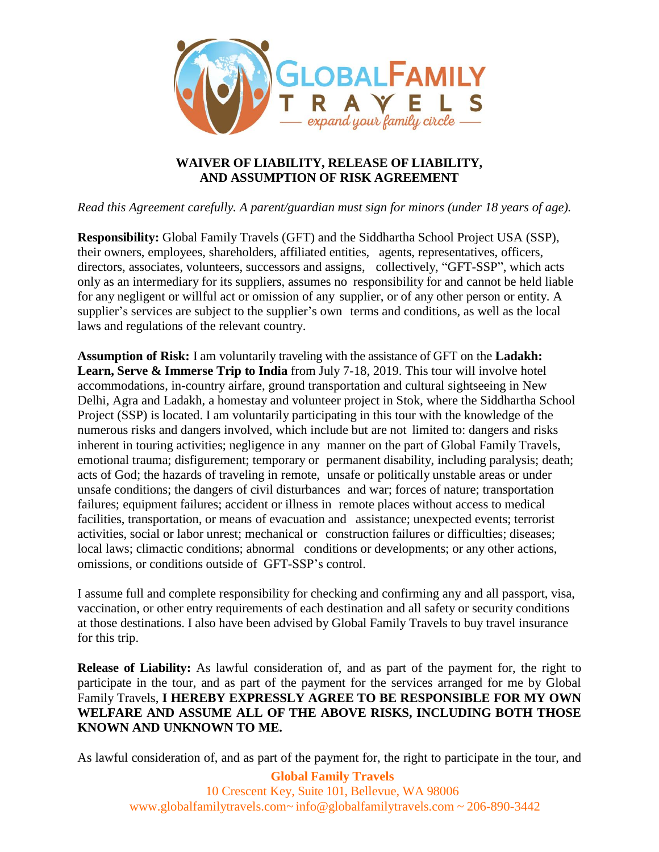

## **WAIVER OF LIABILITY, RELEASE OF LIABILITY, AND ASSUMPTION OF RISK AGREEMENT**

*Read this Agreement carefully. A parent/guardian must sign for minors (under 18 years of age).*

**Responsibility:** Global Family Travels (GFT) and the Siddhartha School Project USA (SSP), their owners, employees, shareholders, affiliated entities, agents, representatives, officers, directors, associates, volunteers, successors and assigns, collectively, "GFT-SSP", which acts only as an intermediary for its suppliers, assumes no responsibility for and cannot be held liable for any negligent or willful act or omission of any supplier, or of any other person or entity. A supplier's services are subject to the supplier's own terms and conditions, as well as the local laws and regulations of the relevant country.

**Assumption of Risk:** I am voluntarily traveling with the assistance of GFT on the **Ladakh: Learn, Serve & Immerse Trip to India** from July 7-18, 2019. This tour will involve hotel accommodations, in-country airfare, ground transportation and cultural sightseeing in New Delhi, Agra and Ladakh, a homestay and volunteer project in Stok, where the Siddhartha School Project (SSP) is located. I am voluntarily participating in this tour with the knowledge of the numerous risks and dangers involved, which include but are not limited to: dangers and risks inherent in touring activities; negligence in any manner on the part of Global Family Travels, emotional trauma; disfigurement; temporary or permanent disability, including paralysis; death; acts of God; the hazards of traveling in remote, unsafe or politically unstable areas or under unsafe conditions; the dangers of civil disturbances and war; forces of nature; transportation failures; equipment failures; accident or illness in remote places without access to medical facilities, transportation, or means of evacuation and assistance; unexpected events; terrorist activities, social or labor unrest; mechanical or construction failures or difficulties; diseases; local laws; climactic conditions; abnormal conditions or developments; or any other actions, omissions, or conditions outside of GFT-SSP's control.

I assume full and complete responsibility for checking and confirming any and all passport, visa, vaccination, or other entry requirements of each destination and all safety or security conditions at those destinations. I also have been advised by Global Family Travels to buy travel insurance for this trip.

**Release of Liability:** As lawful consideration of, and as part of the payment for, the right to participate in the tour, and as part of the payment for the services arranged for me by Global Family Travels, **I HEREBY EXPRESSLY AGREE TO BE RESPONSIBLE FOR MY OWN WELFARE AND ASSUME ALL OF THE ABOVE RISKS, INCLUDING BOTH THOSE KNOWN AND UNKNOWN TO ME.**

As lawful consideration of, and as part of the payment for, the right to participate in the tour, and

**Global Family Travels** 10 Crescent Key, Suite 101, Bellevue, WA 98006 [www.globalfamilytravels.com~](http://www.globalfamilytravels.com/) [info@globalfamilytravels.com](mailto:info@globalfamilytravels.com) ~ 206-890-3442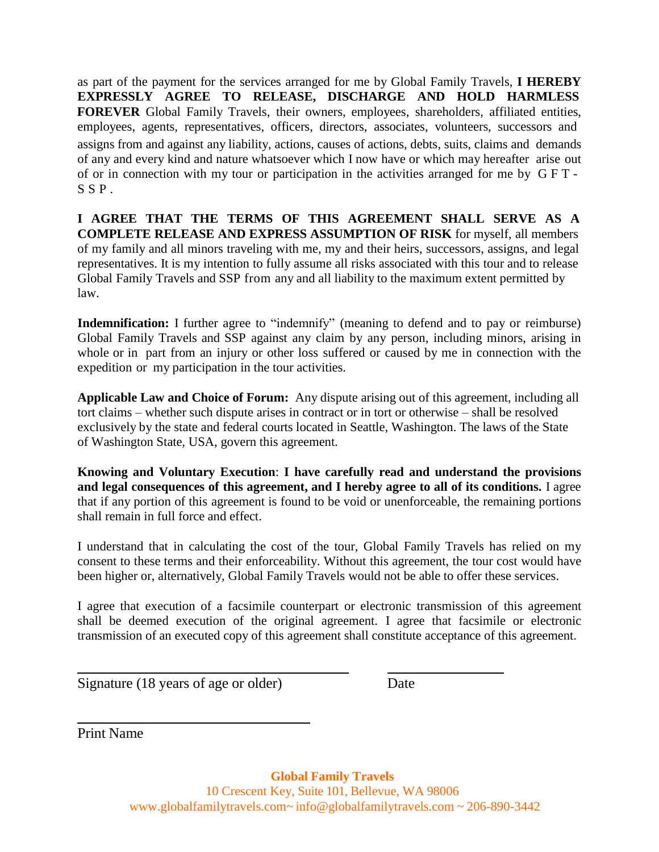as part of the payment for the services arranged for me by Global Family Travels, **I HEREBY EXPRESSLY AGREE TO RELEASE, DISCHARGE AND HOLD HARMLESS FOREVER** Global Family Travels, their owners, employees, shareholders, affiliated entities, employees, agents, representatives, officers, directors, associates, volunteers, successors and assigns from and against any liability, actions, causes of actions, debts, suits, claims and demands of any and every kind and nature whatsoever which I now have or which may hereafter arise out of or in connection with my tour or participation in the activities arranged for me by G F T -  $S$   $S$   $P$ .

**I AGREE THAT THE TERMS OF THIS AGREEMENT SHALL SERVE AS A COMPLETE RELEASE AND EXPRESS ASSUMPTION OF RISK** for myself, all members of my family and all minors traveling with me, my and their heirs, successors, assigns, and legal representatives. It is my intention to fully assume all risks associated with this tour and to release Global Family Travels and SSP from any and all liability to the maximum extent permitted by law.

**Indemnification:** I further agree to "indemnify" (meaning to defend and to pay or reimburse) Global Family Travels and SSP against any claim by any person, including minors, arising in whole or in part from an injury or other loss suffered or caused by me in connection with the expedition or my participation in the tour activities.

**Applicable Law and Choice of Forum:** Any dispute arising out of this agreement, including all tort claims – whether such dispute arises in contract or in tort or otherwise – shall be resolved exclusively by the state and federal courts located in Seattle, Washington. The laws of the State of Washington State*,* USA, govern this agreement.

**Knowing and Voluntary Execution**: **I have carefully read and understand the provisions and legal consequences of this agreement, and I hereby agree to all of its conditions.** I agree that if any portion of this agreement is found to be void or unenforceable, the remaining portions shall remain in full force and effect.

I understand that in calculating the cost of the tour, Global Family Travels has relied on my consent to these terms and their enforceability. Without this agreement, the tour cost would have been higher or, alternatively, Global Family Travels would not be able to offer these services.

I agree that execution of a facsimile counterpart or electronic transmission of this agreement shall be deemed execution of the original agreement. I agree that facsimile or electronic transmission of an executed copy of this agreement shall constitute acceptance of this agreement.

Signature (18 years of age or older) Date

Print Name